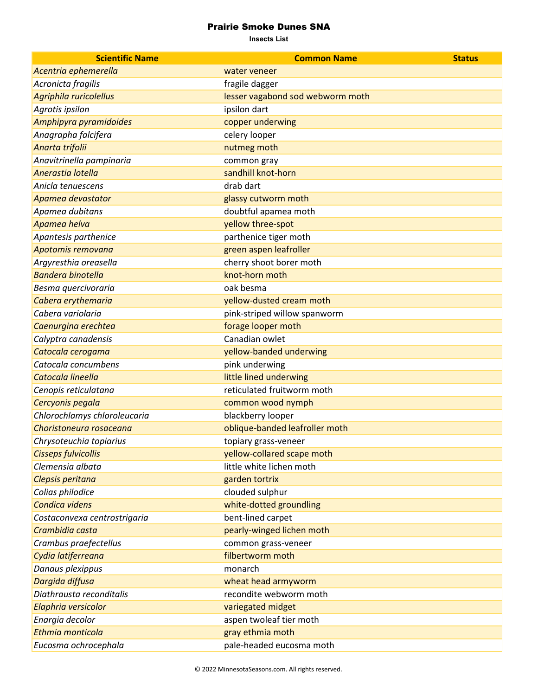## Prairie Smoke Dunes SNA

**Insects List**

| <b>Scientific Name</b>       | <b>Common Name</b>               | <b>Status</b> |
|------------------------------|----------------------------------|---------------|
| Acentria ephemerella         | water veneer                     |               |
| Acronicta fragilis           | fragile dagger                   |               |
| Agriphila ruricolellus       | lesser vagabond sod webworm moth |               |
| Agrotis ipsilon              | ipsilon dart                     |               |
| Amphipyra pyramidoides       | copper underwing                 |               |
| Anagrapha falcifera          | celery looper                    |               |
| Anarta trifolii              | nutmeg moth                      |               |
| Anavitrinella pampinaria     | common gray                      |               |
| Anerastia lotella            | sandhill knot-horn               |               |
| Anicla tenuescens            | drab dart                        |               |
| Apamea devastator            | glassy cutworm moth              |               |
| Apamea dubitans              | doubtful apamea moth             |               |
| Apamea helva                 | yellow three-spot                |               |
| Apantesis parthenice         | parthenice tiger moth            |               |
| Apotomis removana            | green aspen leafroller           |               |
| Argyresthia oreasella        | cherry shoot borer moth          |               |
| <b>Bandera binotella</b>     | knot-horn moth                   |               |
| Besma quercivoraria          | oak besma                        |               |
| Cabera erythemaria           | yellow-dusted cream moth         |               |
| Cabera variolaria            | pink-striped willow spanworm     |               |
| Caenurgina erechtea          | forage looper moth               |               |
| Calyptra canadensis          | Canadian owlet                   |               |
| Catocala cerogama            | yellow-banded underwing          |               |
| Catocala concumbens          | pink underwing                   |               |
| Catocala lineella            | little lined underwing           |               |
| Cenopis reticulatana         | reticulated fruitworm moth       |               |
| Cercyonis pegala             | common wood nymph                |               |
| Chlorochlamys chloroleucaria | blackberry looper                |               |
| Choristoneura rosaceana      | oblique-banded leafroller moth   |               |
| Chrysoteuchia topiarius      | topiary grass-veneer             |               |
| <b>Cisseps fulvicollis</b>   | yellow-collared scape moth       |               |
| Clemensia albata             | little white lichen moth         |               |
| Clepsis peritana             | garden tortrix                   |               |
| Colias philodice             | clouded sulphur                  |               |
| Condica videns               | white-dotted groundling          |               |
| Costaconvexa centrostrigaria | bent-lined carpet                |               |
| Crambidia casta              | pearly-winged lichen moth        |               |
| Crambus praefectellus        | common grass-veneer              |               |
| Cydia latiferreana           | filbertworm moth                 |               |
| Danaus plexippus             | monarch                          |               |
| Dargida diffusa              | wheat head armyworm              |               |
| Diathrausta reconditalis     | recondite webworm moth           |               |
| Elaphria versicolor          | variegated midget                |               |
| Enargia decolor              | aspen twoleaf tier moth          |               |
| Ethmia monticola             | gray ethmia moth                 |               |
| Eucosma ochrocephala         | pale-headed eucosma moth         |               |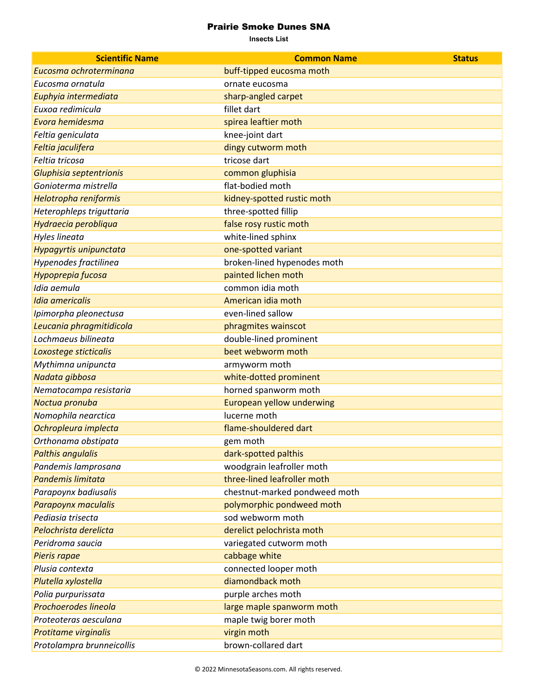## Prairie Smoke Dunes SNA

**Insects List**

| <b>Scientific Name</b>    | <b>Common Name</b>            | <b>Status</b> |
|---------------------------|-------------------------------|---------------|
| Eucosma ochroterminana    | buff-tipped eucosma moth      |               |
| Eucosma ornatula          | ornate eucosma                |               |
| Euphyia intermediata      | sharp-angled carpet           |               |
| Euxoa redimicula          | fillet dart                   |               |
| Evora hemidesma           | spirea leaftier moth          |               |
| Feltia geniculata         | knee-joint dart               |               |
| Feltia jaculifera         | dingy cutworm moth            |               |
| Feltia tricosa            | tricose dart                  |               |
| Gluphisia septentrionis   | common gluphisia              |               |
| Gonioterma mistrella      | flat-bodied moth              |               |
| Helotropha reniformis     | kidney-spotted rustic moth    |               |
| Heterophleps triguttaria  | three-spotted fillip          |               |
| Hydraecia perobliqua      | false rosy rustic moth        |               |
| Hyles lineata             | white-lined sphinx            |               |
| Hypagyrtis unipunctata    | one-spotted variant           |               |
| Hypenodes fractilinea     | broken-lined hypenodes moth   |               |
| Hypoprepia fucosa         | painted lichen moth           |               |
| Idia aemula               | common idia moth              |               |
| Idia americalis           | American idia moth            |               |
| Ipimorpha pleonectusa     | even-lined sallow             |               |
| Leucania phragmitidicola  | phragmites wainscot           |               |
| Lochmaeus bilineata       | double-lined prominent        |               |
| Loxostege sticticalis     | beet webworm moth             |               |
| Mythimna unipuncta        | armyworm moth                 |               |
| Nadata gibbosa            | white-dotted prominent        |               |
| Nematocampa resistaria    | horned spanworm moth          |               |
| Noctua pronuba            | European yellow underwing     |               |
| Nomophila nearctica       | lucerne moth                  |               |
| Ochropleura implecta      | flame-shouldered dart         |               |
| Orthonama obstipata       | gem moth                      |               |
| <b>Palthis angulalis</b>  | dark-spotted palthis          |               |
| Pandemis lamprosana       | woodgrain leafroller moth     |               |
| Pandemis limitata         | three-lined leafroller moth   |               |
| Parapoynx badiusalis      | chestnut-marked pondweed moth |               |
| Parapoynx maculalis       | polymorphic pondweed moth     |               |
| Pediasia trisecta         | sod webworm moth              |               |
| Pelochrista derelicta     | derelict pelochrista moth     |               |
| Peridroma saucia          | variegated cutworm moth       |               |
| Pieris rapae              | cabbage white                 |               |
| Plusia contexta           | connected looper moth         |               |
| Plutella xylostella       | diamondback moth              |               |
| Polia purpurissata        | purple arches moth            |               |
| Prochoerodes lineola      | large maple spanworm moth     |               |
| Proteoteras aesculana     | maple twig borer moth         |               |
| Protitame virginalis      | virgin moth                   |               |
| Protolampra brunneicollis | brown-collared dart           |               |